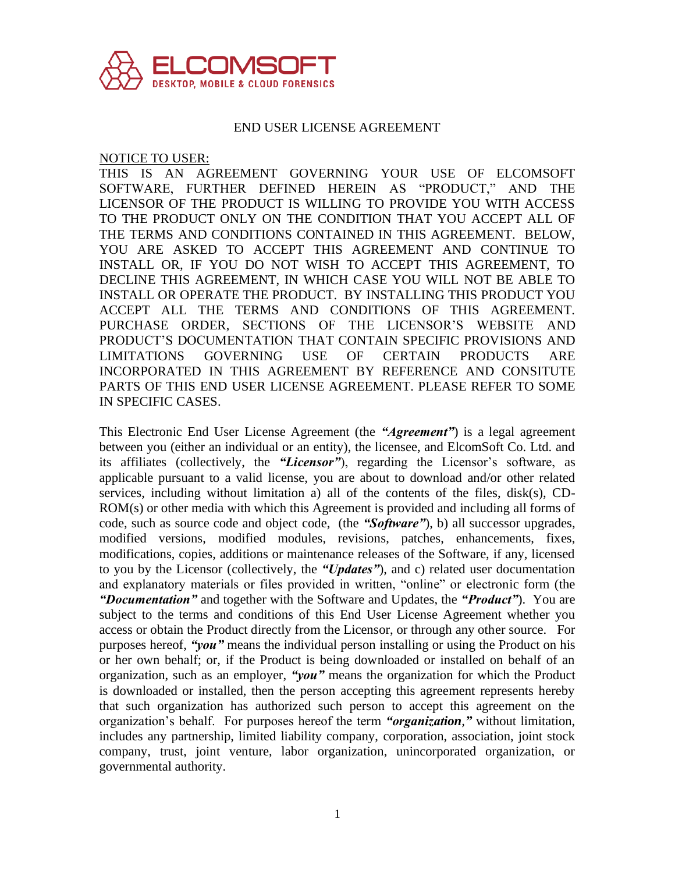

#### END USER LICENSE AGREEMENT

NOTICE TO USER:

THIS IS AN AGREEMENT GOVERNING YOUR USE OF ELCOMSOFT SOFTWARE, FURTHER DEFINED HEREIN AS "PRODUCT," AND THE LICENSOR OF THE PRODUCT IS WILLING TO PROVIDE YOU WITH ACCESS TO THE PRODUCT ONLY ON THE CONDITION THAT YOU ACCEPT ALL OF THE TERMS AND CONDITIONS CONTAINED IN THIS AGREEMENT. BELOW, YOU ARE ASKED TO ACCEPT THIS AGREEMENT AND CONTINUE TO INSTALL OR, IF YOU DO NOT WISH TO ACCEPT THIS AGREEMENT, TO DECLINE THIS AGREEMENT, IN WHICH CASE YOU WILL NOT BE ABLE TO INSTALL OR OPERATE THE PRODUCT. BY INSTALLING THIS PRODUCT YOU ACCEPT ALL THE TERMS AND CONDITIONS OF THIS AGREEMENT. PURCHASE ORDER, SECTIONS OF THE LICENSOR'S WEBSITE AND PRODUCT'S DOCUMENTATION THAT CONTAIN SPECIFIC PROVISIONS AND LIMITATIONS GOVERNING USE OF CERTAIN PRODUCTS ARE INCORPORATED IN THIS AGREEMENT BY REFERENCE AND CONSITUTE PARTS OF THIS END USER LICENSE AGREEMENT. PLEASE REFER TO SOME IN SPECIFIC CASES.

This Electronic End User License Agreement (the *"Agreement"*) is a legal agreement between you (either an individual or an entity), the licensee, and ElcomSoft Co. Ltd. and its affiliates (collectively, the *"Licensor"*), regarding the Licensor's software, as applicable pursuant to a valid license, you are about to download and/or other related services, including without limitation a) all of the contents of the files, disk(s), CD-ROM(s) or other media with which this Agreement is provided and including all forms of code, such as source code and object code, (the *"Software"*), b) all successor upgrades, modified versions, modified modules, revisions, patches, enhancements, fixes, modifications, copies, additions or maintenance releases of the Software, if any, licensed to you by the Licensor (collectively, the *"Updates"*), and c) related user documentation and explanatory materials or files provided in written, "online" or electronic form (the *"Documentation"* and together with the Software and Updates, the *"Product"*). You are subject to the terms and conditions of this End User License Agreement whether you access or obtain the Product directly from the Licensor, or through any other source. For purposes hereof, *"you"* means the individual person installing or using the Product on his or her own behalf; or, if the Product is being downloaded or installed on behalf of an organization, such as an employer, *"you"* means the organization for which the Product is downloaded or installed, then the person accepting this agreement represents hereby that such organization has authorized such person to accept this agreement on the organization's behalf. For purposes hereof the term *"organization,"* without limitation, includes any partnership, limited liability company, corporation, association, joint stock company, trust, joint venture, labor organization, unincorporated organization, or governmental authority.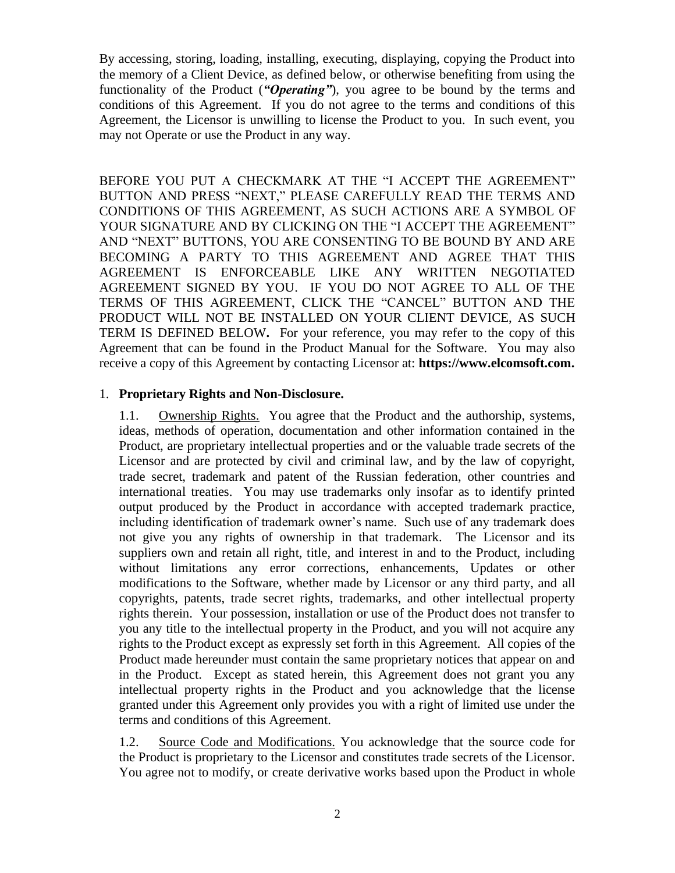By accessing, storing, loading, installing, executing, displaying, copying the Product into the memory of a Client Device, as defined below, or otherwise benefiting from using the functionality of the Product (*"Operating"*), you agree to be bound by the terms and conditions of this Agreement. If you do not agree to the terms and conditions of this Agreement, the Licensor is unwilling to license the Product to you. In such event, you may not Operate or use the Product in any way.

BEFORE YOU PUT A CHECKMARK AT THE "I ACCEPT THE AGREEMENT" BUTTON AND PRESS "NEXT," PLEASE CAREFULLY READ THE TERMS AND CONDITIONS OF THIS AGREEMENT, AS SUCH ACTIONS ARE A SYMBOL OF YOUR SIGNATURE AND BY CLICKING ON THE "I ACCEPT THE AGREEMENT" AND "NEXT" BUTTONS, YOU ARE CONSENTING TO BE BOUND BY AND ARE BECOMING A PARTY TO THIS AGREEMENT AND AGREE THAT THIS AGREEMENT IS ENFORCEABLE LIKE ANY WRITTEN NEGOTIATED AGREEMENT SIGNED BY YOU. IF YOU DO NOT AGREE TO ALL OF THE TERMS OF THIS AGREEMENT, CLICK THE "CANCEL" BUTTON AND THE PRODUCT WILL NOT BE INSTALLED ON YOUR CLIENT DEVICE, AS SUCH TERM IS DEFINED BELOW**.** For your reference, you may refer to the copy of this Agreement that can be found in the Product Manual for the Software. You may also receive a copy of this Agreement by contacting Licensor at: **https://www.elcomsoft.com.**

#### 1. **Proprietary Rights and Non-Disclosure.**

1.1. Ownership Rights. You agree that the Product and the authorship, systems, ideas, methods of operation, documentation and other information contained in the Product, are proprietary intellectual properties and or the valuable trade secrets of the Licensor and are protected by civil and criminal law, and by the law of copyright, trade secret, trademark and patent of the Russian federation, other countries and international treaties. You may use trademarks only insofar as to identify printed output produced by the Product in accordance with accepted trademark practice, including identification of trademark owner's name. Such use of any trademark does not give you any rights of ownership in that trademark. The Licensor and its suppliers own and retain all right, title, and interest in and to the Product, including without limitations any error corrections, enhancements, Updates or other modifications to the Software, whether made by Licensor or any third party, and all copyrights, patents, trade secret rights, trademarks, and other intellectual property rights therein. Your possession, installation or use of the Product does not transfer to you any title to the intellectual property in the Product, and you will not acquire any rights to the Product except as expressly set forth in this Agreement. All copies of the Product made hereunder must contain the same proprietary notices that appear on and in the Product. Except as stated herein, this Agreement does not grant you any intellectual property rights in the Product and you acknowledge that the license granted under this Agreement only provides you with a right of limited use under the terms and conditions of this Agreement.

1.2. Source Code and Modifications. You acknowledge that the source code for the Product is proprietary to the Licensor and constitutes trade secrets of the Licensor. You agree not to modify, or create derivative works based upon the Product in whole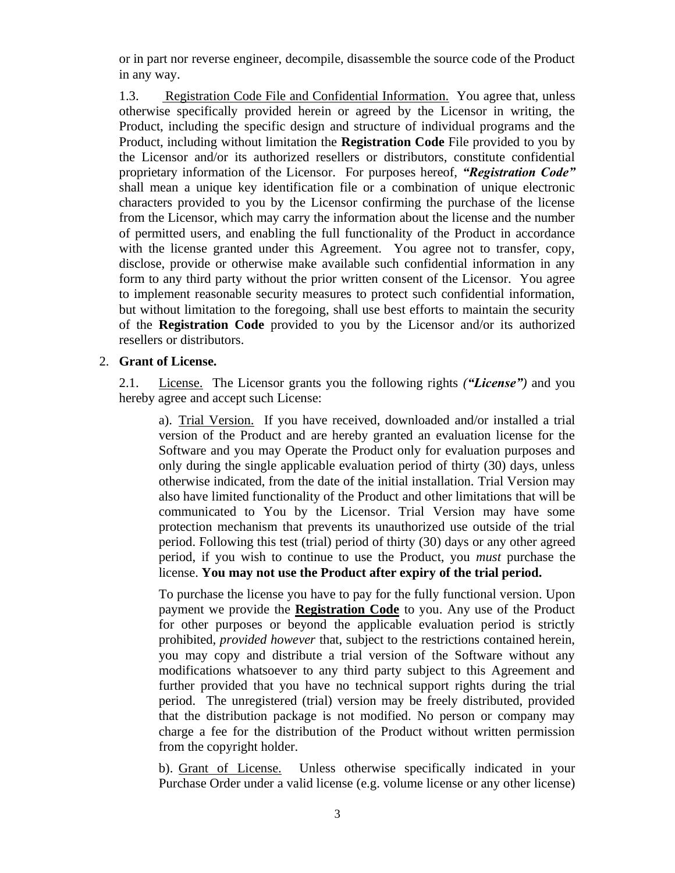or in part nor reverse engineer, decompile, disassemble the source code of the Product in any way.

1.3. Registration Code File and Confidential Information. You agree that, unless otherwise specifically provided herein or agreed by the Licensor in writing, the Product, including the specific design and structure of individual programs and the Product, including without limitation the **Registration Code** File provided to you by the Licensor and/or its authorized resellers or distributors, constitute confidential proprietary information of the Licensor. For purposes hereof, *"Registration Code"*  shall mean a unique key identification file or a combination of unique electronic characters provided to you by the Licensor confirming the purchase of the license from the Licensor, which may carry the information about the license and the number of permitted users, and enabling the full functionality of the Product in accordance with the license granted under this Agreement. You agree not to transfer, copy, disclose, provide or otherwise make available such confidential information in any form to any third party without the prior written consent of the Licensor. You agree to implement reasonable security measures to protect such confidential information, but without limitation to the foregoing, shall use best efforts to maintain the security of the **Registration Code** provided to you by the Licensor and/or its authorized resellers or distributors.

## 2. **Grant of License.**

2.1. License. The Licensor grants you the following rights *("License")* and you hereby agree and accept such License:

a). Trial Version. If you have received, downloaded and/or installed a trial version of the Product and are hereby granted an evaluation license for the Software and you may Operate the Product only for evaluation purposes and only during the single applicable evaluation period of thirty (30) days, unless otherwise indicated, from the date of the initial installation. Trial Version may also have limited functionality of the Product and other limitations that will be communicated to You by the Licensor. Trial Version may have some protection mechanism that prevents its unauthorized use outside of the trial period. Following this test (trial) period of thirty (30) days or any other agreed period, if you wish to continue to use the Product, you *must* purchase the license. **You may not use the Product after expiry of the trial period.**

To purchase the license you have to pay for the fully functional version. Upon payment we provide the **Registration Code** to you. Any use of the Product for other purposes or beyond the applicable evaluation period is strictly prohibited, *provided however* that, subject to the restrictions contained herein, you may copy and distribute a trial version of the Software without any modifications whatsoever to any third party subject to this Agreement and further provided that you have no technical support rights during the trial period. The unregistered (trial) version may be freely distributed, provided that the distribution package is not modified. No person or company may charge a fee for the distribution of the Product without written permission from the copyright holder.

b). Grant of License. Unless otherwise specifically indicated in your Purchase Order under a valid license (e.g. volume license or any other license)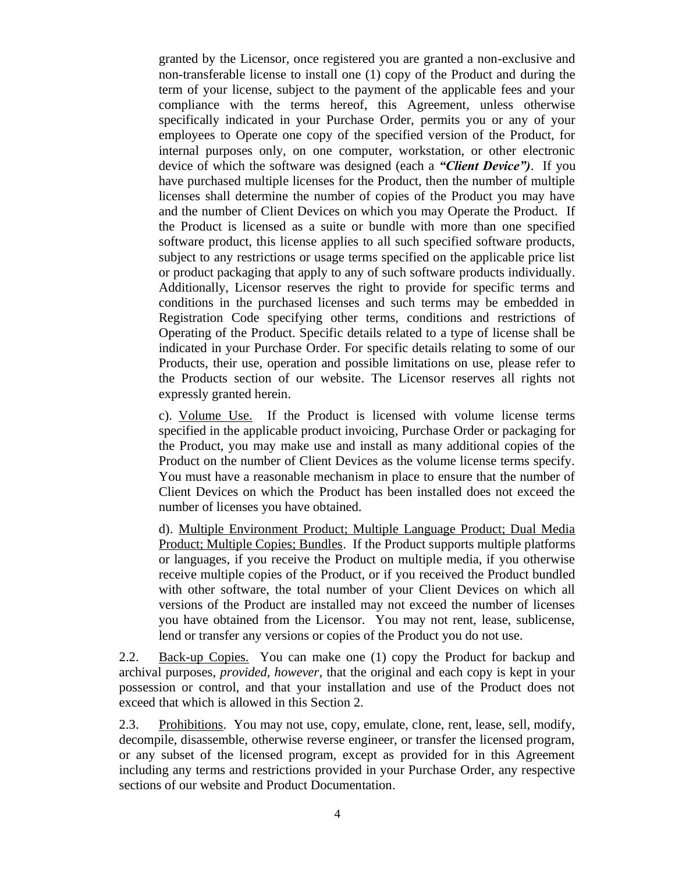granted by the Licensor, once registered you are granted a non-exclusive and non-transferable license to install one (1) copy of the Product and during the term of your license, subject to the payment of the applicable fees and your compliance with the terms hereof, this Agreement, unless otherwise specifically indicated in your Purchase Order, permits you or any of your employees to Operate one copy of the specified version of the Product, for internal purposes only, on one computer, workstation, or other electronic device of which the software was designed (each a *"Client Device")*. If you have purchased multiple licenses for the Product, then the number of multiple licenses shall determine the number of copies of the Product you may have and the number of Client Devices on which you may Operate the Product. If the Product is licensed as a suite or bundle with more than one specified software product, this license applies to all such specified software products, subject to any restrictions or usage terms specified on the applicable price list or product packaging that apply to any of such software products individually. Additionally, Licensor reserves the right to provide for specific terms and conditions in the purchased licenses and such terms may be embedded in Registration Code specifying other terms, conditions and restrictions of Operating of the Product. Specific details related to a type of license shall be indicated in your Purchase Order. For specific details relating to some of our Products, their use, operation and possible limitations on use, please refer to the Products section of our website. The Licensor reserves all rights not expressly granted herein.

c). Volume Use. If the Product is licensed with volume license terms specified in the applicable product invoicing, Purchase Order or packaging for the Product, you may make use and install as many additional copies of the Product on the number of Client Devices as the volume license terms specify. You must have a reasonable mechanism in place to ensure that the number of Client Devices on which the Product has been installed does not exceed the number of licenses you have obtained.

d). Multiple Environment Product; Multiple Language Product; Dual Media Product; Multiple Copies; Bundles. If the Product supports multiple platforms or languages, if you receive the Product on multiple media, if you otherwise receive multiple copies of the Product, or if you received the Product bundled with other software, the total number of your Client Devices on which all versions of the Product are installed may not exceed the number of licenses you have obtained from the Licensor. You may not rent, lease, sublicense, lend or transfer any versions or copies of the Product you do not use.

2.2. Back-up Copies. You can make one (1) copy the Product for backup and archival purposes, *provided, however*, that the original and each copy is kept in your possession or control, and that your installation and use of the Product does not exceed that which is allowed in this Section 2.

2.3. Prohibitions. You may not use, copy, emulate, clone, rent, lease, sell, modify, decompile, disassemble, otherwise reverse engineer, or transfer the licensed program, or any subset of the licensed program, except as provided for in this Agreement including any terms and restrictions provided in your Purchase Order, any respective sections of our website and Product Documentation.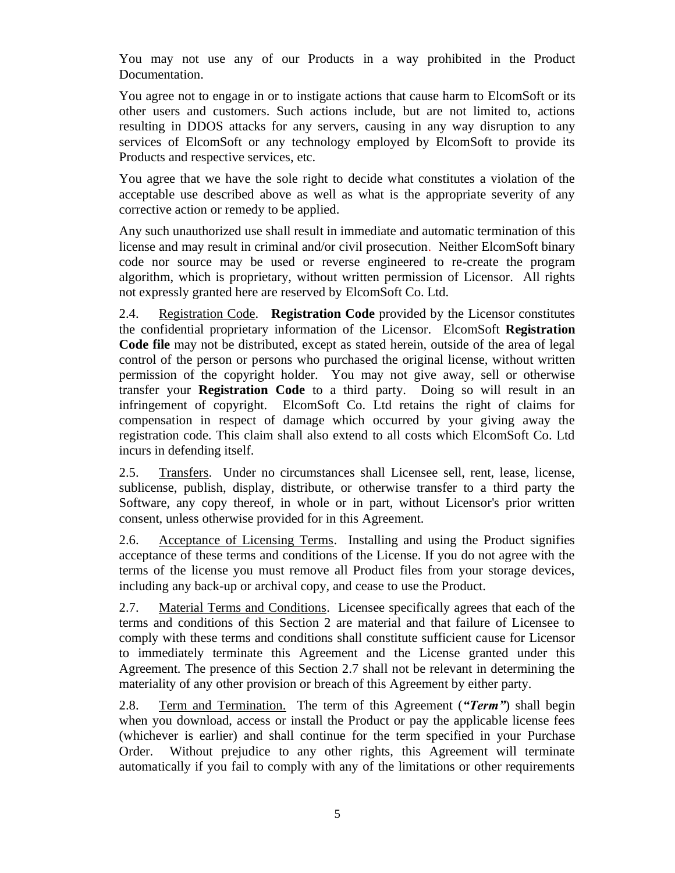You may not use any of our Products in a way prohibited in the Product Documentation.

You agree not to engage in or to instigate actions that cause harm to ElcomSoft or its other users and customers. Such actions include, but are not limited to, actions resulting in DDOS attacks for any servers, causing in any way disruption to any services of ElcomSoft or any technology employed by ElcomSoft to provide its Products and respective services, etc.

You agree that we have the sole right to decide what constitutes a violation of the acceptable use described above as well as what is the appropriate severity of any corrective action or remedy to be applied.

Any such unauthorized use shall result in immediate and automatic termination of this license and may result in criminal and/or civil prosecution. Neither ElcomSoft binary code nor source may be used or reverse engineered to re-create the program algorithm, which is proprietary, without written permission of Licensor. All rights not expressly granted here are reserved by ElcomSoft Co. Ltd.

2.4. Registration Code. **Registration Code** provided by the Licensor constitutes the confidential proprietary information of the Licensor. ElcomSoft **Registration Code file** may not be distributed, except as stated herein, outside of the area of legal control of the person or persons who purchased the original license, without written permission of the copyright holder. You may not give away, sell or otherwise transfer your **Registration Code** to a third party. Doing so will result in an infringement of copyright. ElcomSoft Co. Ltd retains the right of claims for compensation in respect of damage which occurred by your giving away the registration code. This claim shall also extend to all costs which ElcomSoft Co. Ltd incurs in defending itself.

2.5. Transfers. Under no circumstances shall Licensee sell, rent, lease, license, sublicense, publish, display, distribute, or otherwise transfer to a third party the Software, any copy thereof, in whole or in part, without Licensor's prior written consent, unless otherwise provided for in this Agreement.

2.6. Acceptance of Licensing Terms. Installing and using the Product signifies acceptance of these terms and conditions of the License. If you do not agree with the terms of the license you must remove all Product files from your storage devices, including any back-up or archival copy, and cease to use the Product.

2.7. Material Terms and Conditions. Licensee specifically agrees that each of the terms and conditions of this Section 2 are material and that failure of Licensee to comply with these terms and conditions shall constitute sufficient cause for Licensor to immediately terminate this Agreement and the License granted under this Agreement. The presence of this Section 2.7 shall not be relevant in determining the materiality of any other provision or breach of this Agreement by either party.

2.8. Term and Termination.The term of this Agreement (*"Term"*) shall begin when you download, access or install the Product or pay the applicable license fees (whichever is earlier) and shall continue for the term specified in your Purchase Order. Without prejudice to any other rights, this Agreement will terminate automatically if you fail to comply with any of the limitations or other requirements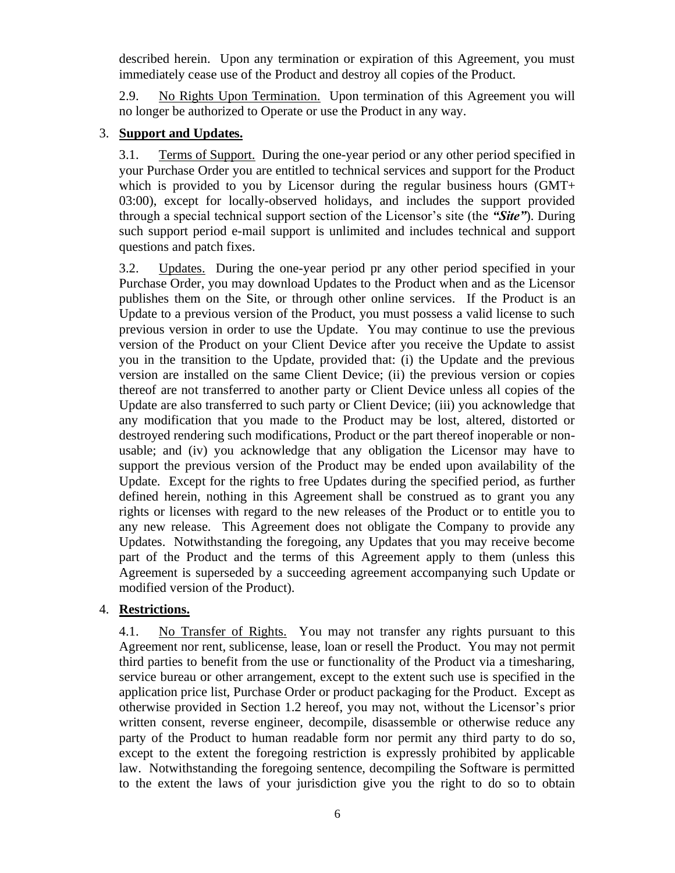described herein. Upon any termination or expiration of this Agreement, you must immediately cease use of the Product and destroy all copies of the Product.

2.9. No Rights Upon Termination. Upon termination of this Agreement you will no longer be authorized to Operate or use the Product in any way.

# 3. **Support and Updates.**

3.1. Terms of Support. During the one-year period or any other period specified in your Purchase Order you are entitled to technical services and support for the Product which is provided to you by Licensor during the regular business hours (GMT+ 03:00), except for locally-observed holidays, and includes the support provided through a special technical support section of the Licensor's site (the *"Site"*). During such support period e-mail support is unlimited and includes technical and support questions and patch fixes.

3.2. Updates. During the one-year period pr any other period specified in your Purchase Order, you may download Updates to the Product when and as the Licensor publishes them on the Site, or through other online services. If the Product is an Update to a previous version of the Product, you must possess a valid license to such previous version in order to use the Update. You may continue to use the previous version of the Product on your Client Device after you receive the Update to assist you in the transition to the Update, provided that: (i) the Update and the previous version are installed on the same Client Device; (ii) the previous version or copies thereof are not transferred to another party or Client Device unless all copies of the Update are also transferred to such party or Client Device; (iii) you acknowledge that any modification that you made to the Product may be lost, altered, distorted or destroyed rendering such modifications, Product or the part thereof inoperable or nonusable; and (iv) you acknowledge that any obligation the Licensor may have to support the previous version of the Product may be ended upon availability of the Update. Except for the rights to free Updates during the specified period, as further defined herein, nothing in this Agreement shall be construed as to grant you any rights or licenses with regard to the new releases of the Product or to entitle you to any new release. This Agreement does not obligate the Company to provide any Updates. Notwithstanding the foregoing, any Updates that you may receive become part of the Product and the terms of this Agreement apply to them (unless this Agreement is superseded by a succeeding agreement accompanying such Update or modified version of the Product).

## 4. **Restrictions.**

4.1. No Transfer of Rights. You may not transfer any rights pursuant to this Agreement nor rent, sublicense, lease, loan or resell the Product. You may not permit third parties to benefit from the use or functionality of the Product via a timesharing, service bureau or other arrangement, except to the extent such use is specified in the application price list, Purchase Order or product packaging for the Product. Except as otherwise provided in Section 1.2 hereof, you may not, without the Licensor's prior written consent, reverse engineer, decompile, disassemble or otherwise reduce any party of the Product to human readable form nor permit any third party to do so, except to the extent the foregoing restriction is expressly prohibited by applicable law. Notwithstanding the foregoing sentence, decompiling the Software is permitted to the extent the laws of your jurisdiction give you the right to do so to obtain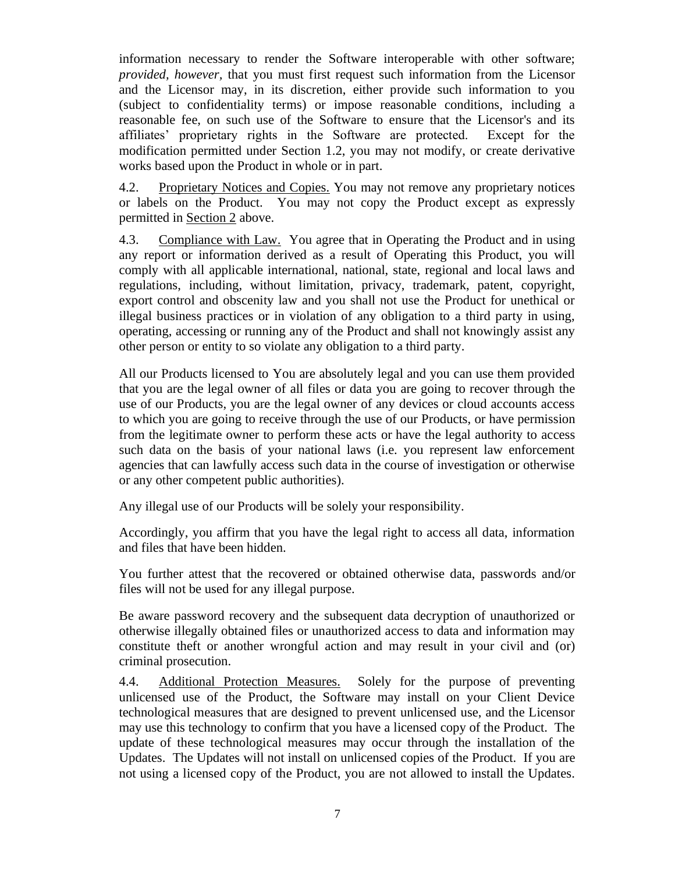information necessary to render the Software interoperable with other software; *provided, however,* that you must first request such information from the Licensor and the Licensor may, in its discretion, either provide such information to you (subject to confidentiality terms) or impose reasonable conditions, including a reasonable fee, on such use of the Software to ensure that the Licensor's and its affiliates' proprietary rights in the Software are protected. Except for the modification permitted under Section 1.2, you may not modify, or create derivative works based upon the Product in whole or in part.

4.2. Proprietary Notices and Copies. You may not remove any proprietary notices or labels on the Product. You may not copy the Product except as expressly permitted in Section 2 above.

4.3. Compliance with Law. You agree that in Operating the Product and in using any report or information derived as a result of Operating this Product, you will comply with all applicable international, national, state, regional and local laws and regulations, including, without limitation, privacy, trademark, patent, copyright, export control and obscenity law and you shall not use the Product for unethical or illegal business practices or in violation of any obligation to a third party in using, operating, accessing or running any of the Product and shall not knowingly assist any other person or entity to so violate any obligation to a third party.

All our Products licensed to You are absolutely legal and you can use them provided that you are the legal owner of all files or data you are going to recover through the use of our Products, you are the legal owner of any devices or cloud accounts access to which you are going to receive through the use of our Products, or have permission from the legitimate owner to perform these acts or have the legal authority to access such data on the basis of your national laws (i.e. you represent law enforcement agencies that can lawfully access such data in the course of investigation or otherwise or any other competent public authorities).

Any illegal use of our Products will be solely your responsibility.

Accordingly, you affirm that you have the legal right to access all data, information and files that have been hidden.

You further attest that the recovered or obtained otherwise data, passwords and/or files will not be used for any illegal purpose.

Be aware password recovery and the subsequent data decryption of unauthorized or otherwise illegally obtained files or unauthorized access to data and information may constitute theft or another wrongful action and may result in your civil and (or) criminal prosecution.

4.4. Additional Protection Measures. Solely for the purpose of preventing unlicensed use of the Product, the Software may install on your Client Device technological measures that are designed to prevent unlicensed use, and the Licensor may use this technology to confirm that you have a licensed copy of the Product. The update of these technological measures may occur through the installation of the Updates. The Updates will not install on unlicensed copies of the Product. If you are not using a licensed copy of the Product, you are not allowed to install the Updates.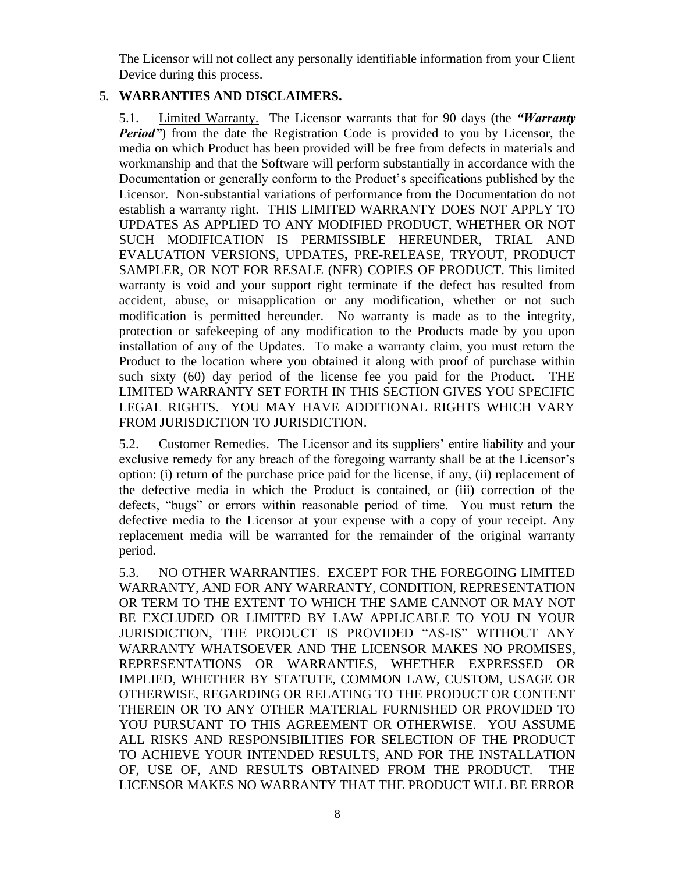The Licensor will not collect any personally identifiable information from your Client Device during this process.

# 5. **WARRANTIES AND DISCLAIMERS.**

5.1. Limited Warranty. The Licensor warrants that for 90 days (the *"Warranty Period"*) from the date the Registration Code is provided to you by Licensor, the media on which Product has been provided will be free from defects in materials and workmanship and that the Software will perform substantially in accordance with the Documentation or generally conform to the Product's specifications published by the Licensor. Non-substantial variations of performance from the Documentation do not establish a warranty right. THIS LIMITED WARRANTY DOES NOT APPLY TO UPDATES AS APPLIED TO ANY MODIFIED PRODUCT, WHETHER OR NOT SUCH MODIFICATION IS PERMISSIBLE HEREUNDER, TRIAL AND EVALUATION VERSIONS, UPDATES*,* PRE-RELEASE, TRYOUT, PRODUCT SAMPLER, OR NOT FOR RESALE (NFR) COPIES OF PRODUCT. This limited warranty is void and your support right terminate if the defect has resulted from accident, abuse, or misapplication or any modification, whether or not such modification is permitted hereunder. No warranty is made as to the integrity, protection or safekeeping of any modification to the Products made by you upon installation of any of the Updates. To make a warranty claim, you must return the Product to the location where you obtained it along with proof of purchase within such sixty (60) day period of the license fee you paid for the Product. THE LIMITED WARRANTY SET FORTH IN THIS SECTION GIVES YOU SPECIFIC LEGAL RIGHTS. YOU MAY HAVE ADDITIONAL RIGHTS WHICH VARY FROM JURISDICTION TO JURISDICTION.

5.2. Customer Remedies. The Licensor and its suppliers' entire liability and your exclusive remedy for any breach of the foregoing warranty shall be at the Licensor's option: (i) return of the purchase price paid for the license, if any, (ii) replacement of the defective media in which the Product is contained, or (iii) correction of the defects, "bugs" or errors within reasonable period of time. You must return the defective media to the Licensor at your expense with a copy of your receipt. Any replacement media will be warranted for the remainder of the original warranty period.

5.3. NO OTHER WARRANTIES. EXCEPT FOR THE FOREGOING LIMITED WARRANTY, AND FOR ANY WARRANTY, CONDITION, REPRESENTATION OR TERM TO THE EXTENT TO WHICH THE SAME CANNOT OR MAY NOT BE EXCLUDED OR LIMITED BY LAW APPLICABLE TO YOU IN YOUR JURISDICTION, THE PRODUCT IS PROVIDED "AS-IS" WITHOUT ANY WARRANTY WHATSOEVER AND THE LICENSOR MAKES NO PROMISES, REPRESENTATIONS OR WARRANTIES, WHETHER EXPRESSED OR IMPLIED, WHETHER BY STATUTE, COMMON LAW, CUSTOM, USAGE OR OTHERWISE, REGARDING OR RELATING TO THE PRODUCT OR CONTENT THEREIN OR TO ANY OTHER MATERIAL FURNISHED OR PROVIDED TO YOU PURSUANT TO THIS AGREEMENT OR OTHERWISE. YOU ASSUME ALL RISKS AND RESPONSIBILITIES FOR SELECTION OF THE PRODUCT TO ACHIEVE YOUR INTENDED RESULTS, AND FOR THE INSTALLATION OF, USE OF, AND RESULTS OBTAINED FROM THE PRODUCT. THE LICENSOR MAKES NO WARRANTY THAT THE PRODUCT WILL BE ERROR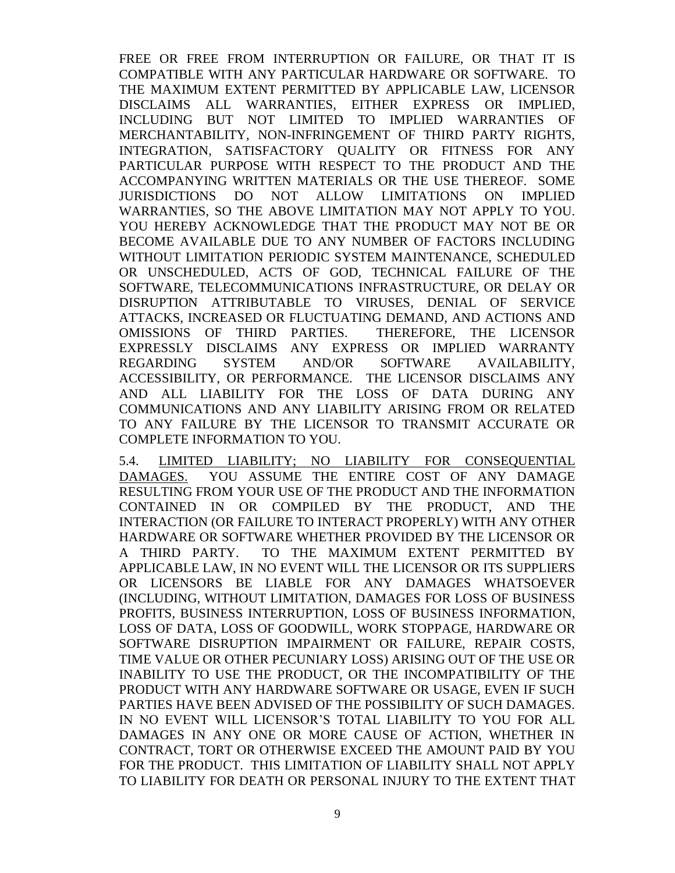FREE OR FREE FROM INTERRUPTION OR FAILURE, OR THAT IT IS COMPATIBLE WITH ANY PARTICULAR HARDWARE OR SOFTWARE. TO THE MAXIMUM EXTENT PERMITTED BY APPLICABLE LAW, LICENSOR DISCLAIMS ALL WARRANTIES, EITHER EXPRESS OR IMPLIED, INCLUDING BUT NOT LIMITED TO IMPLIED WARRANTIES OF MERCHANTABILITY, NON-INFRINGEMENT OF THIRD PARTY RIGHTS, INTEGRATION, SATISFACTORY QUALITY OR FITNESS FOR ANY PARTICULAR PURPOSE WITH RESPECT TO THE PRODUCT AND THE ACCOMPANYING WRITTEN MATERIALS OR THE USE THEREOF. SOME JURISDICTIONS DO NOT ALLOW LIMITATIONS ON IMPLIED WARRANTIES, SO THE ABOVE LIMITATION MAY NOT APPLY TO YOU. YOU HEREBY ACKNOWLEDGE THAT THE PRODUCT MAY NOT BE OR BECOME AVAILABLE DUE TO ANY NUMBER OF FACTORS INCLUDING WITHOUT LIMITATION PERIODIC SYSTEM MAINTENANCE, SCHEDULED OR UNSCHEDULED, ACTS OF GOD, TECHNICAL FAILURE OF THE SOFTWARE, TELECOMMUNICATIONS INFRASTRUCTURE, OR DELAY OR DISRUPTION ATTRIBUTABLE TO VIRUSES, DENIAL OF SERVICE ATTACKS, INCREASED OR FLUCTUATING DEMAND, AND ACTIONS AND OMISSIONS OF THIRD PARTIES. THEREFORE, THE LICENSOR EXPRESSLY DISCLAIMS ANY EXPRESS OR IMPLIED WARRANTY REGARDING SYSTEM AND/OR SOFTWARE AVAILABILITY, ACCESSIBILITY, OR PERFORMANCE. THE LICENSOR DISCLAIMS ANY AND ALL LIABILITY FOR THE LOSS OF DATA DURING ANY COMMUNICATIONS AND ANY LIABILITY ARISING FROM OR RELATED TO ANY FAILURE BY THE LICENSOR TO TRANSMIT ACCURATE OR COMPLETE INFORMATION TO YOU.

5.4. LIMITED LIABILITY; NO LIABILITY FOR CONSEQUENTIAL DAMAGES. YOU ASSUME THE ENTIRE COST OF ANY DAMAGE RESULTING FROM YOUR USE OF THE PRODUCT AND THE INFORMATION CONTAINED IN OR COMPILED BY THE PRODUCT, AND THE INTERACTION (OR FAILURE TO INTERACT PROPERLY) WITH ANY OTHER HARDWARE OR SOFTWARE WHETHER PROVIDED BY THE LICENSOR OR A THIRD PARTY. TO THE MAXIMUM EXTENT PERMITTED BY APPLICABLE LAW, IN NO EVENT WILL THE LICENSOR OR ITS SUPPLIERS OR LICENSORS BE LIABLE FOR ANY DAMAGES WHATSOEVER (INCLUDING, WITHOUT LIMITATION, DAMAGES FOR LOSS OF BUSINESS PROFITS, BUSINESS INTERRUPTION, LOSS OF BUSINESS INFORMATION, LOSS OF DATA, LOSS OF GOODWILL, WORK STOPPAGE, HARDWARE OR SOFTWARE DISRUPTION IMPAIRMENT OR FAILURE, REPAIR COSTS, TIME VALUE OR OTHER PECUNIARY LOSS) ARISING OUT OF THE USE OR INABILITY TO USE THE PRODUCT, OR THE INCOMPATIBILITY OF THE PRODUCT WITH ANY HARDWARE SOFTWARE OR USAGE, EVEN IF SUCH PARTIES HAVE BEEN ADVISED OF THE POSSIBILITY OF SUCH DAMAGES. IN NO EVENT WILL LICENSOR'S TOTAL LIABILITY TO YOU FOR ALL DAMAGES IN ANY ONE OR MORE CAUSE OF ACTION, WHETHER IN CONTRACT, TORT OR OTHERWISE EXCEED THE AMOUNT PAID BY YOU FOR THE PRODUCT. THIS LIMITATION OF LIABILITY SHALL NOT APPLY TO LIABILITY FOR DEATH OR PERSONAL INJURY TO THE EXTENT THAT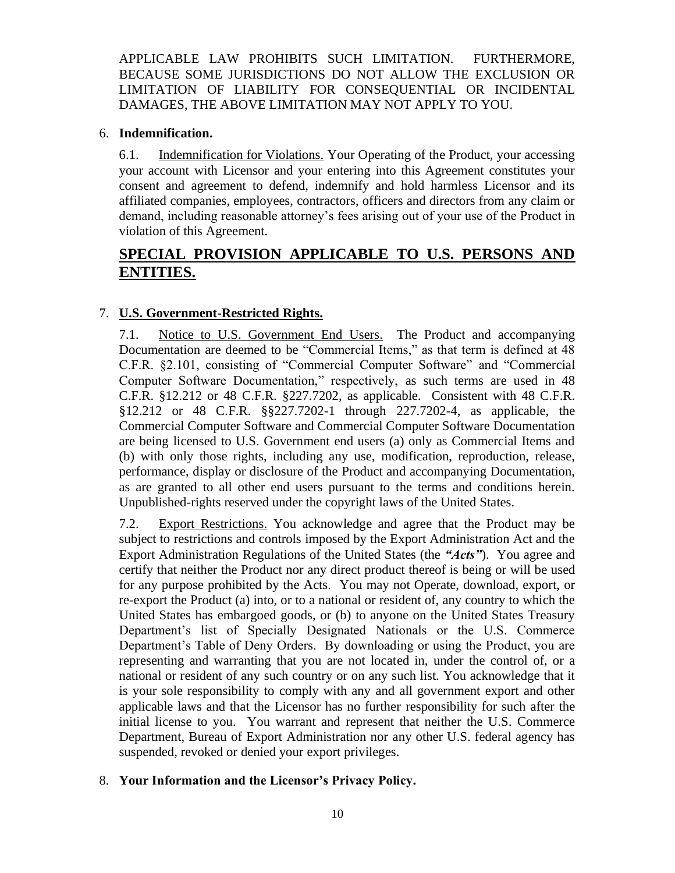APPLICABLE LAW PROHIBITS SUCH LIMITATION. FURTHERMORE, BECAUSE SOME JURISDICTIONS DO NOT ALLOW THE EXCLUSION OR LIMITATION OF LIABILITY FOR CONSEQUENTIAL OR INCIDENTAL DAMAGES, THE ABOVE LIMITATION MAY NOT APPLY TO YOU.

## 6. **Indemnification.**

6.1. Indemnification for Violations. Your Operating of the Product, your accessing your account with Licensor and your entering into this Agreement constitutes your consent and agreement to defend, indemnify and hold harmless Licensor and its affiliated companies, employees, contractors, officers and directors from any claim or demand, including reasonable attorney's fees arising out of your use of the Product in violation of this Agreement.

# **SPECIAL PROVISION APPLICABLE TO U.S. PERSONS AND ENTITIES.**

# 7. **U.S. Government-Restricted Rights.**

7.1. Notice to U.S. Government End Users. The Product and accompanying Documentation are deemed to be "Commercial Items," as that term is defined at 48 C.F.R. §2.101, consisting of "Commercial Computer Software" and "Commercial Computer Software Documentation," respectively, as such terms are used in 48 C.F.R. §12.212 or 48 C.F.R. §227.7202, as applicable. Consistent with 48 C.F.R. §12.212 or 48 C.F.R. §§227.7202-1 through 227.7202-4, as applicable, the Commercial Computer Software and Commercial Computer Software Documentation are being licensed to U.S. Government end users (a) only as Commercial Items and (b) with only those rights, including any use, modification, reproduction, release, performance, display or disclosure of the Product and accompanying Documentation, as are granted to all other end users pursuant to the terms and conditions herein. Unpublished-rights reserved under the copyright laws of the United States.

7.2. Export Restrictions. You acknowledge and agree that the Product may be subject to restrictions and controls imposed by the Export Administration Act and the Export Administration Regulations of the United States (the *"Acts"*). You agree and certify that neither the Product nor any direct product thereof is being or will be used for any purpose prohibited by the Acts. You may not Operate, download, export, or re-export the Product (a) into, or to a national or resident of, any country to which the United States has embargoed goods, or (b) to anyone on the United States Treasury Department's list of Specially Designated Nationals or the U.S. Commerce Department's Table of Deny Orders. By downloading or using the Product, you are representing and warranting that you are not located in, under the control of, or a national or resident of any such country or on any such list. You acknowledge that it is your sole responsibility to comply with any and all government export and other applicable laws and that the Licensor has no further responsibility for such after the initial license to you. You warrant and represent that neither the U.S. Commerce Department, Bureau of Export Administration nor any other U.S. federal agency has suspended, revoked or denied your export privileges.

# 8. **Your Information and the Licensor's Privacy Policy.**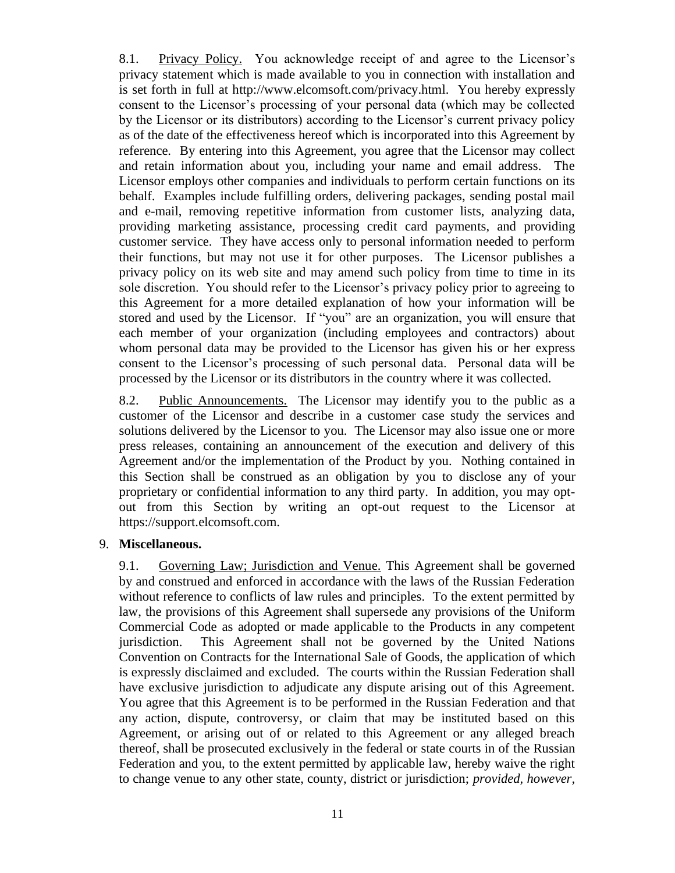8.1. Privacy Policy. You acknowledge receipt of and agree to the Licensor's privacy statement which is made available to you in connection with installation and is set forth in full at http://www.elcomsoft.com/privacy.html. You hereby expressly consent to the Licensor's processing of your personal data (which may be collected by the Licensor or its distributors) according to the Licensor's current privacy policy as of the date of the effectiveness hereof which is incorporated into this Agreement by reference. By entering into this Agreement, you agree that the Licensor may collect and retain information about you, including your name and email address. The Licensor employs other companies and individuals to perform certain functions on its behalf. Examples include fulfilling orders, delivering packages, sending postal mail and e-mail, removing repetitive information from customer lists, analyzing data, providing marketing assistance, processing credit card payments, and providing customer service. They have access only to personal information needed to perform their functions, but may not use it for other purposes. The Licensor publishes a privacy policy on its web site and may amend such policy from time to time in its sole discretion. You should refer to the Licensor's privacy policy prior to agreeing to this Agreement for a more detailed explanation of how your information will be stored and used by the Licensor. If "you" are an organization, you will ensure that each member of your organization (including employees and contractors) about whom personal data may be provided to the Licensor has given his or her express consent to the Licensor's processing of such personal data. Personal data will be processed by the Licensor or its distributors in the country where it was collected.

8.2. Public Announcements. The Licensor may identify you to the public as a customer of the Licensor and describe in a customer case study the services and solutions delivered by the Licensor to you. The Licensor may also issue one or more press releases, containing an announcement of the execution and delivery of this Agreement and/or the implementation of the Product by you. Nothing contained in this Section shall be construed as an obligation by you to disclose any of your proprietary or confidential information to any third party. In addition, you may optout from this Section by writing an opt-out request to the Licensor at https://support.elcomsoft.com.

## 9. **Miscellaneous.**

9.1. Governing Law; Jurisdiction and Venue. This Agreement shall be governed by and construed and enforced in accordance with the laws of the Russian Federation without reference to conflicts of law rules and principles. To the extent permitted by law, the provisions of this Agreement shall supersede any provisions of the Uniform Commercial Code as adopted or made applicable to the Products in any competent jurisdiction. This Agreement shall not be governed by the United Nations Convention on Contracts for the International Sale of Goods, the application of which is expressly disclaimed and excluded. The courts within the Russian Federation shall have exclusive jurisdiction to adjudicate any dispute arising out of this Agreement. You agree that this Agreement is to be performed in the Russian Federation and that any action, dispute, controversy, or claim that may be instituted based on this Agreement, or arising out of or related to this Agreement or any alleged breach thereof, shall be prosecuted exclusively in the federal or state courts in of the Russian Federation and you, to the extent permitted by applicable law, hereby waive the right to change venue to any other state, county, district or jurisdiction; *provided, however,*